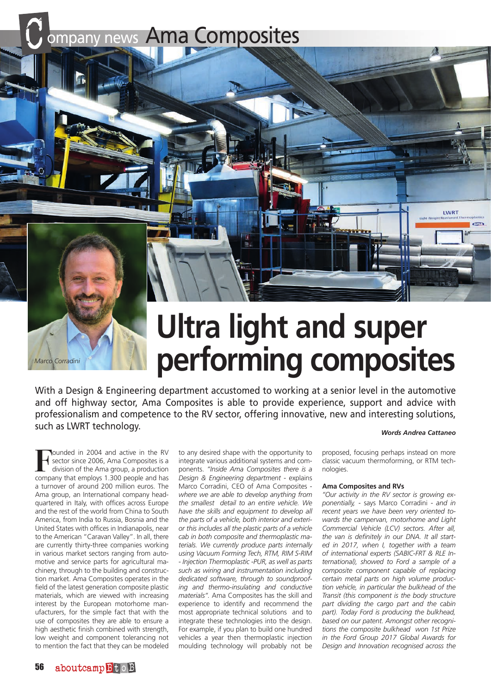ompany news Ama Composites



## **Ultra light and super performing composites**

With a Design & Engineering department accustomed to working at a senior level in the automotive and off highway sector, Ama Composites is able to provide experience, support and advice with professionalism and competence to the RV sector, offering innovative, new and interesting solutions, such as LWRT technology.

s.

## *Words Andrea Cattaneo*

LWRT

 $rac{1}{2}$ 

**Founded in 2004 and active in the RV**<br>sector since 2006, Ama Composites is a<br>division of the Ama group, a production<br>company that employs 1.300 people and bas sector since 2006, Ama Composites is a division of the Ama group, a production company that employs 1.300 people and has a turnover of around 200 million euros. The Ama group, an International company headquartered in Italy, with offices across Europe and the rest of the world from China to South America, from India to Russia, Bosnia and the United States with offices in Indianapolis, near to the American "Caravan Valley". In all, there are currently thirty-three companies working in various market sectors ranging from automotive and service parts for agricultural machinery, through to the building and construction market. Ama Composites operates in the field of the latest generation composite plastic materials, which are viewed with increasing interest by the European motorhome manufacturers, for the simple fact that with the use of composites they are able to ensure a high aesthetic finish combined with strength, low weight and component tolerancing not to mention the fact that they can be modeled

to any desired shape with the opportunity to integrate various additional systems and components. *"Inside Ama Composites there is a Design & Engineering department* - explains Marco Corradini, CEO of Ama Composites *where we are able to develop anything from the smallest detail to an entire vehicle. We have the skills and equipment to develop all the parts of a vehicle, both interior and exterior this includes all the plastic parts of a vehicle cab in both composite and thermoplastic materials. We currently produce parts internally using Vacuum Forming Tech, RTM, RIM S-RIM - Injection Thermoplastic -PUR, as well as parts such as wiring and instrumentation including dedicated software, through to soundproofing and thermo-insulating and conductive materials".* Ama Composites has the skill and experience to identify and recommend the most appropriate technical solutions and to integrate these technologies into the design. For example, if you plan to build one hundred vehicles a year then thermoplastic injection moulding technology will probably not be

proposed, focusing perhaps instead on more classic vacuum thermoforming, or RTM technologies.

## **Ama Composites and RVs**

*"Our activity in the RV sector is growing exponentially,* - says Marco Corradini - *and in recent years we have been very oriented towards the campervan, motorhome and Light Commercial Vehicle (LCV) sectors. After all, the van is definitely in our DNA. It all started in 2017, when I, together with a team of international experts (SABIC-FRT & RLE International), showed to Ford a sample of a composite component capable of replacing certain metal parts on high volume production vehicle, in particular the bulkhead of the Transit (this component is the body structure part dividing the cargo part and the cabin part). Today Ford is producing the bulkhead, based on our patent. Amongst other recognitions the composite bulkhead won 1st Prize in the Ford Group 2017 Global Awards for Design and Innovation recognised across the*